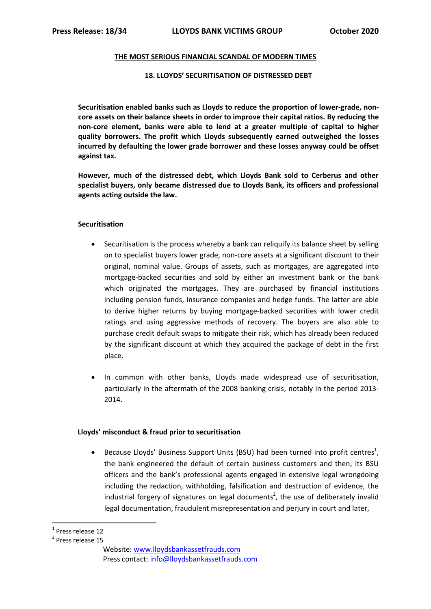### **THE MOST SERIOUS FINANCIAL SCANDAL OF MODERN TIMES**

### **18. LLOYDS' SECURITISATION OF DISTRESSED DEBT**

**Securitisation enabled banks such as Lloyds to reduce the proportion of lower-grade, noncore assets on their balance sheets in order to improve their capital ratios. By reducing the non-core element, banks were able to lend at a greater multiple of capital to higher quality borrowers. The profit which Lloyds subsequently earned outweighed the losses incurred by defaulting the lower grade borrower and these losses anyway could be offset against tax.**

**However, much of the distressed debt, which Lloyds Bank sold to Cerberus and other specialist buyers, only became distressed due to Lloyds Bank, its officers and professional agents acting outside the law.**

## **Securitisation**

- Securitisation is the process whereby a bank can reliquify its balance sheet by selling on to specialist buyers lower grade, non-core assets at a significant discount to their original, nominal value. Groups of assets, such as mortgages, are aggregated into mortgage-backed securities and sold by either an investment bank or the bank which originated the mortgages. They are purchased by financial institutions including pension funds, insurance companies and hedge funds. The latter are able to derive higher returns by buying mortgage-backed securities with lower credit ratings and using aggressive methods of recovery. The buyers are also able to purchase credit default swaps to mitigate their risk, which has already been reduced by the significant discount at which they acquired the package of debt in the first place.
- In common with other banks, Lloyds made widespread use of securitisation, particularly in the aftermath of the 2008 banking crisis, notably in the period 2013- 2014.

# **Lloyds' misconduct & fraud prior to securitisation**

• Because Lloyds' Business Support Units (BSU) had been turned into profit centres<sup>1</sup>, the bank engineered the default of certain business customers and then, its BSU officers and the bank's professional agents engaged in extensive legal wrongdoing including the redaction, withholding, falsification and destruction of evidence, the industrial forgery of signatures on legal documents<sup>2</sup>, the use of deliberately invalid legal documentation, fraudulent misrepresentation and perjury in court and later,

**.** 

<sup>&</sup>lt;sup>1</sup> Press release 12

<sup>2</sup> Press release 15

Website[: www.lloydsbankassetfrauds.com](http://www.lloydsbankassetfrauds.com/) Press contact: [info@lloydsbankassetfrauds.com](mailto:info@lloydsbankassetfrauds.com)